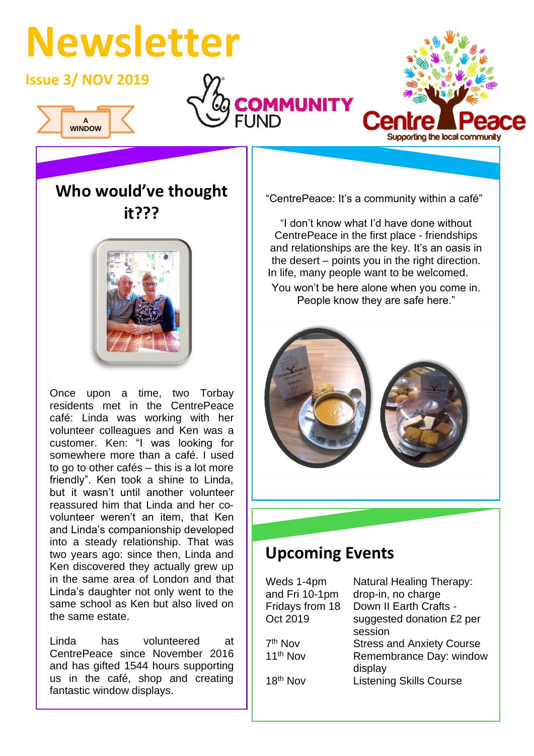# **Newsletter**

**Issue 3/ NOV 2019**







**Who would've thought it???**



Once upon a time, two Torbay residents met in the CentrePeace café: Linda was working with her volunteer colleagues and Ken was a customer. Ken: "I was looking for somewhere more than a café. I used to go to other cafés – this is a lot more friendly". Ken took a shine to Linda, but it wasn't until another volunteer reassured him that Linda and her covolunteer weren't an item, that Ken and Linda's companionship developed into a steady relationship. That was two years ago: since then, Linda and Ken discovered they actually grew up in the same area of London and that Linda's daughter not only went to the same school as Ken but also lived on the same estate.

Linda has volunteered at CentrePeace since November 2016 and has gifted 1544 hours supporting us in the café, shop and creating fantastic window displays.

"CentrePeace: It's a community within a café"

"I don't know what I'd have done without CentrePeace in the first place - friendships and relationships are the key. It's an oasis in the desert – points you in the right direction. In life, many people want to be welcomed. You won't be here alone when you come in.

People know they are safe here."



## **Upcoming Events**

| Weds 1-4pm           | <b>Natural Healing Therapy:</b>  |
|----------------------|----------------------------------|
| and Fri 10-1pm       | drop-in, no charge               |
| Fridays from 18      | Down II Earth Crafts -           |
| Oct 2019             | suggested donation £2 per        |
|                      | session                          |
| 7 <sup>th</sup> Nov  | <b>Stress and Anxiety Course</b> |
| 11 <sup>th</sup> Nov | Remembrance Day: window          |
|                      | display                          |
| 18 <sup>th</sup> Nov | <b>Listening Skills Course</b>   |
|                      |                                  |